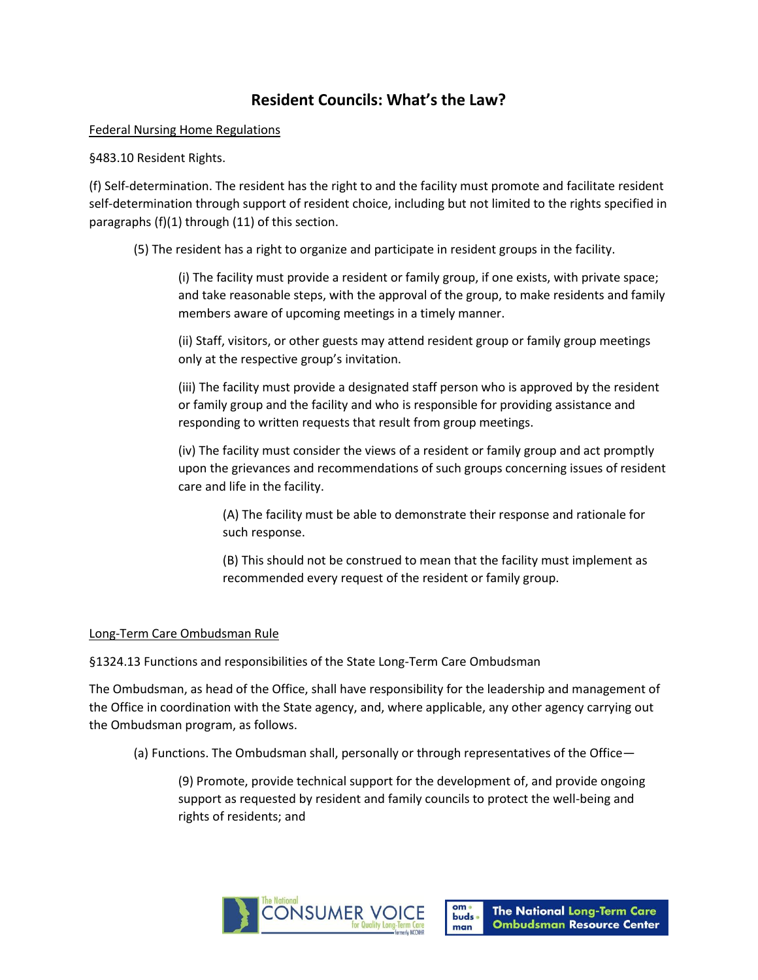## **Resident Councils: What's the Law?**

Federal Nursing Home Regulations

§483.10 Resident Rights.

(f) Self-determination. The resident has the right to and the facility must promote and facilitate resident self-determination through support of resident choice, including but not limited to the rights specified in paragraphs (f)(1) through (11) of this section.

(5) The resident has a right to organize and participate in resident groups in the facility.

(i) The facility must provide a resident or family group, if one exists, with private space; and take reasonable steps, with the approval of the group, to make residents and family members aware of upcoming meetings in a timely manner.

(ii) Staff, visitors, or other guests may attend resident group or family group meetings only at the respective group's invitation.

(iii) The facility must provide a designated staff person who is approved by the resident or family group and the facility and who is responsible for providing assistance and responding to written requests that result from group meetings.

(iv) The facility must consider the views of a resident or family group and act promptly upon the grievances and recommendations of such groups concerning issues of resident care and life in the facility.

(A) The facility must be able to demonstrate their response and rationale for such response.

(B) This should not be construed to mean that the facility must implement as recommended every request of the resident or family group.

## Long-Term Care Ombudsman Rule

§1324.13 Functions and responsibilities of the State Long-Term Care Ombudsman

The Ombudsman, as head of the Office, shall have responsibility for the leadership and management of the Office in coordination with the State agency, and, where applicable, any other agency carrying out the Ombudsman program, as follows.

(a) Functions. The Ombudsman shall, personally or through representatives of the Office—

(9) Promote, provide technical support for the development of, and provide ongoing support as requested by resident and family councils to protect the well-being and rights of residents; and